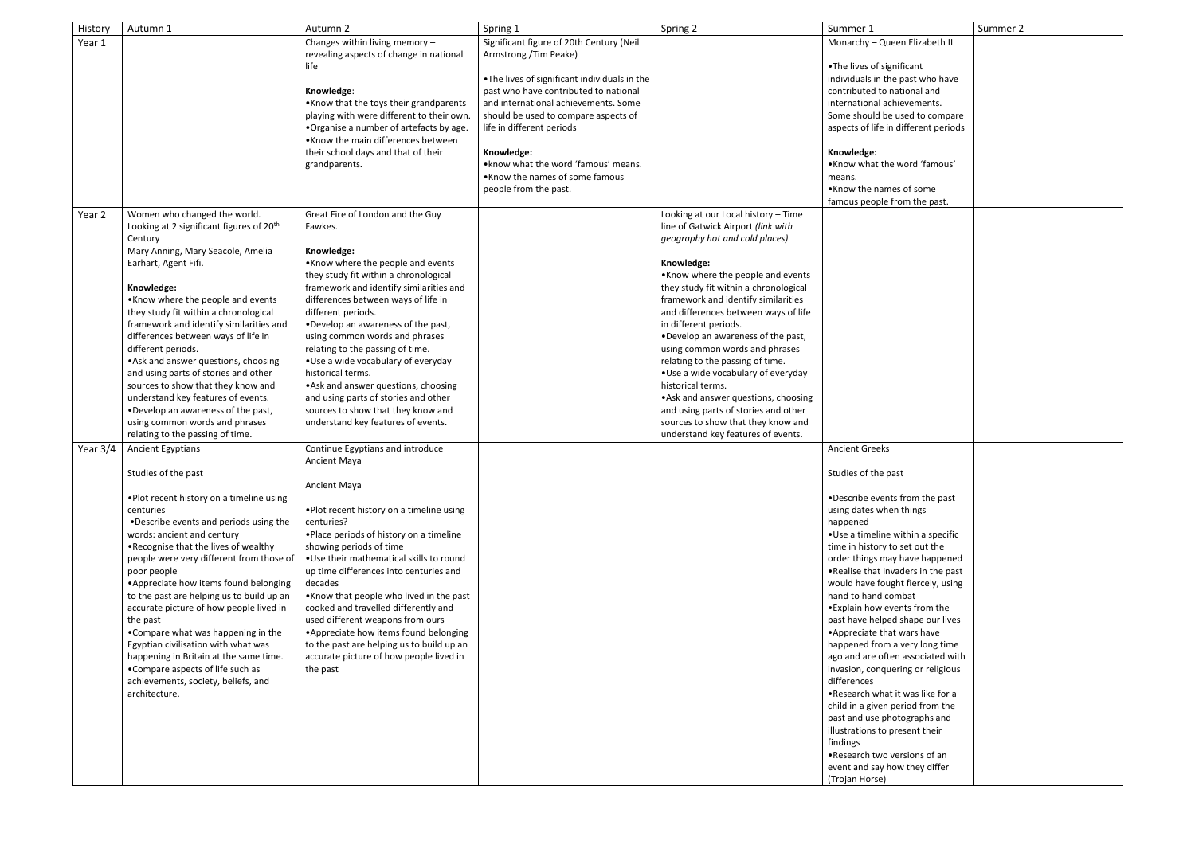| History    | Autumn 1                                                                 | Autumn 2                                                                     | Spring 1                                      | Spring 2                                                | Summer 1                                                       | Summer 2 |
|------------|--------------------------------------------------------------------------|------------------------------------------------------------------------------|-----------------------------------------------|---------------------------------------------------------|----------------------------------------------------------------|----------|
| Year 1     |                                                                          | Changes within living memory -                                               | Significant figure of 20th Century (Neil      |                                                         | Monarchy - Queen Elizabeth II                                  |          |
|            |                                                                          | revealing aspects of change in national                                      | Armstrong /Tim Peake)                         |                                                         |                                                                |          |
|            |                                                                          | life                                                                         |                                               |                                                         | .The lives of significant                                      |          |
|            |                                                                          |                                                                              | . The lives of significant individuals in the |                                                         | individuals in the past who have                               |          |
|            |                                                                          | Knowledge:                                                                   | past who have contributed to national         |                                                         | contributed to national and                                    |          |
|            |                                                                          | • Know that the toys their grandparents                                      | and international achievements. Some          |                                                         | international achievements.                                    |          |
|            |                                                                          | playing with were different to their own.                                    | should be used to compare aspects of          |                                                         | Some should be used to compare                                 |          |
|            |                                                                          | . Organise a number of artefacts by age.                                     | life in different periods                     |                                                         | aspects of life in different periods                           |          |
|            |                                                                          | •Know the main differences between                                           |                                               |                                                         |                                                                |          |
|            |                                                                          | their school days and that of their                                          | Knowledge:                                    |                                                         | Knowledge:                                                     |          |
|            |                                                                          | grandparents.                                                                | • know what the word 'famous' means.          |                                                         | .Know what the word 'famous'                                   |          |
|            |                                                                          |                                                                              | •Know the names of some famous                |                                                         | means.                                                         |          |
|            |                                                                          |                                                                              | people from the past.                         |                                                         | •Know the names of some                                        |          |
|            |                                                                          |                                                                              |                                               |                                                         | famous people from the past.                                   |          |
| Year 2     | Women who changed the world.                                             | Great Fire of London and the Guy                                             |                                               | Looking at our Local history - Time                     |                                                                |          |
|            | Looking at 2 significant figures of 20 <sup>th</sup>                     | Fawkes.                                                                      |                                               | line of Gatwick Airport (link with                      |                                                                |          |
|            | Century                                                                  |                                                                              |                                               | geography hot and cold places)                          |                                                                |          |
|            | Mary Anning, Mary Seacole, Amelia                                        | Knowledge:                                                                   |                                               |                                                         |                                                                |          |
|            | Earhart, Agent Fifi.                                                     | •Know where the people and events                                            |                                               | Knowledge:                                              |                                                                |          |
|            |                                                                          | they study fit within a chronological                                        |                                               | .Know where the people and events                       |                                                                |          |
|            | Knowledge:                                                               | framework and identify similarities and                                      |                                               | they study fit within a chronological                   |                                                                |          |
|            | •Know where the people and events                                        | differences between ways of life in                                          |                                               | framework and identify similarities                     |                                                                |          |
|            | they study fit within a chronological                                    | different periods.                                                           |                                               | and differences between ways of life                    |                                                                |          |
|            | framework and identify similarities and                                  | . Develop an awareness of the past,                                          |                                               | in different periods.                                   |                                                                |          |
|            | differences between ways of life in                                      | using common words and phrases                                               |                                               | . Develop an awareness of the past,                     |                                                                |          |
|            | different periods.                                                       | relating to the passing of time.                                             |                                               | using common words and phrases                          |                                                                |          |
|            | • Ask and answer questions, choosing                                     | • Use a wide vocabulary of everyday<br>historical terms.                     |                                               | relating to the passing of time.                        |                                                                |          |
|            | and using parts of stories and other                                     |                                                                              |                                               | •Use a wide vocabulary of everyday<br>historical terms. |                                                                |          |
|            | sources to show that they know and<br>understand key features of events. | • Ask and answer questions, choosing<br>and using parts of stories and other |                                               | • Ask and answer questions, choosing                    |                                                                |          |
|            | . Develop an awareness of the past,                                      | sources to show that they know and                                           |                                               | and using parts of stories and other                    |                                                                |          |
|            | using common words and phrases                                           | understand key features of events.                                           |                                               | sources to show that they know and                      |                                                                |          |
|            | relating to the passing of time.                                         |                                                                              |                                               | understand key features of events.                      |                                                                |          |
| Year $3/4$ | <b>Ancient Egyptians</b>                                                 | Continue Egyptians and introduce                                             |                                               |                                                         | <b>Ancient Greeks</b>                                          |          |
|            |                                                                          | Ancient Maya                                                                 |                                               |                                                         |                                                                |          |
|            | Studies of the past                                                      |                                                                              |                                               |                                                         | Studies of the past                                            |          |
|            |                                                                          | <b>Ancient Maya</b>                                                          |                                               |                                                         |                                                                |          |
|            | . Plot recent history on a timeline using                                |                                                                              |                                               |                                                         | •Describe events from the past                                 |          |
|            | centuries                                                                | . Plot recent history on a timeline using                                    |                                               |                                                         | using dates when things                                        |          |
|            | . Describe events and periods using the                                  | centuries?                                                                   |                                               |                                                         | happened                                                       |          |
|            | words: ancient and century                                               | . Place periods of history on a timeline                                     |                                               |                                                         | •Use a timeline within a specific                              |          |
|            | .Recognise that the lives of wealthy                                     | showing periods of time                                                      |                                               |                                                         | time in history to set out the                                 |          |
|            | people were very different from those of                                 | . Use their mathematical skills to round                                     |                                               |                                                         | order things may have happened                                 |          |
|            | poor people                                                              | up time differences into centuries and                                       |                                               |                                                         | . Realise that invaders in the past                            |          |
|            | • Appreciate how items found belonging                                   | decades                                                                      |                                               |                                                         | would have fought fiercely, using                              |          |
|            | to the past are helping us to build up an                                | •Know that people who lived in the past                                      |                                               |                                                         | hand to hand combat                                            |          |
|            | accurate picture of how people lived in                                  | cooked and travelled differently and                                         |                                               |                                                         | • Explain how events from the                                  |          |
|            | the past                                                                 | used different weapons from ours                                             |                                               |                                                         | past have helped shape our lives                               |          |
|            | •Compare what was happening in the                                       | • Appreciate how items found belonging                                       |                                               |                                                         | • Appreciate that wars have                                    |          |
|            | Egyptian civilisation with what was                                      | to the past are helping us to build up an                                    |                                               |                                                         | happened from a very long time                                 |          |
|            | happening in Britain at the same time.                                   | accurate picture of how people lived in                                      |                                               |                                                         | ago and are often associated with                              |          |
|            | •Compare aspects of life such as                                         | the past                                                                     |                                               |                                                         | invasion, conquering or religious                              |          |
|            | achievements, society, beliefs, and                                      |                                                                              |                                               |                                                         | differences                                                    |          |
|            | architecture.                                                            |                                                                              |                                               |                                                         | .Research what it was like for a                               |          |
|            |                                                                          |                                                                              |                                               |                                                         | child in a given period from the                               |          |
|            |                                                                          |                                                                              |                                               |                                                         | past and use photographs and<br>illustrations to present their |          |
|            |                                                                          |                                                                              |                                               |                                                         | findings                                                       |          |
|            |                                                                          |                                                                              |                                               |                                                         | .Research two versions of an                                   |          |
|            |                                                                          |                                                                              |                                               |                                                         | event and say how they differ                                  |          |
|            |                                                                          |                                                                              |                                               |                                                         | (Trojan Horse)                                                 |          |
|            |                                                                          |                                                                              |                                               |                                                         |                                                                |          |